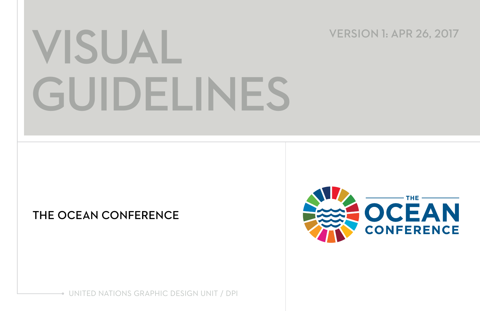# THE OCEAN CONFERENCE

# **VISUAL GUIDELINES**

UNITED NATIONS GRAPHIC DESIGN UNIT / DPI



# **VERSION 1: APR 26, 2017**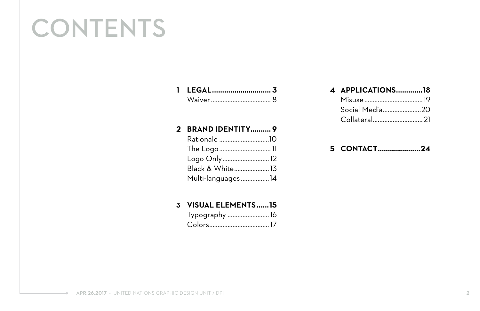# **CONTENTS**

# **2 BRAND IDENTITY.......... 9**

# **4 APPLICATIONS.............18** Misu Soci Coll

| Rationale 10      |  |
|-------------------|--|
| The Logo11        |  |
| Logo Only12       |  |
| Black & White13   |  |
| Multi-languages14 |  |

## **3 VISUAL ELEMENTS......15**

| Typography 16 |  |
|---------------|--|
|               |  |

## **5 CONTACT.....................24**

| <b>PLICATIONS18</b> |
|---------------------|
|                     |
| ial Media20         |
|                     |
|                     |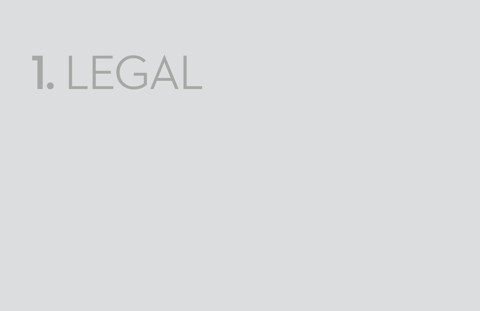# **1.** LEGAL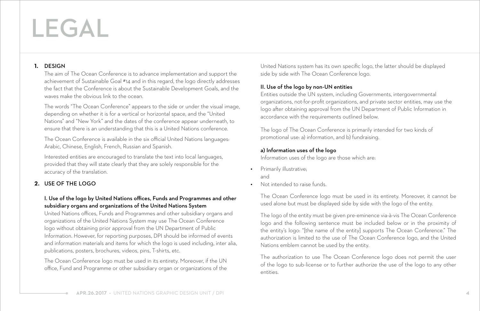## **1.** DESIGN

The aim of The Ocean Conference is to advance implementation and support the achievement of Sustainable Goal #14 and in this regard, the logo directly addresses the fact that the Conference is about the Sustainable Development Goals, and the waves make the obvious link to the ocean.

The words "The Ocean Conference" appears to the side or under the visual image, depending on whether it is for a vertical or horizontal space, and the "United Nations" and "New York" and the dates of the conference appear underneath, to ensure that there is an understanding that this is a United Nations conference.

The Ocean Conference is available in the six official United Nations languages: Arabic, Chinese, English, French, Russian and Spanish.

Interested entities are encouraged to translate the text into local languages, provided that they will state clearly that they are solely responsible for the accuracy of the translation.

## **2.** USE OF THE LOGO

#### I. Use of the logo by United Nations offices, Funds and Programmes and other subsidiary organs and organizations of the United Nations System

United Nations offices, Funds and Programmes and other subsidiary organs and organizations of the United Nations System may use The Ocean Conference logo without obtaining prior approval from the UN Department of Public Information. However, for reporting purposes, DPI should be informed of events and information materials and items for which the logo is used including, inter alia, publications, posters, brochures, videos, pins, T-shirts, etc.

The Ocean Conference logo must be used in its entirety. Moreover, if the UN office, Fund and Programme or other subsidiary organ or organizations of the United Nations system has its own specific logo, the latter should be displayed side by side with The Ocean Conference logo.

### II. Use of the logo by non-UN entities

Entities outside the UN system, including Governments, intergovernmental organizations, not-for-profit organizations, and private sector entities, may use the logo after obtaining approval from the UN Department of Public Information in accordance with the requirements outlined below.

The logo of The Ocean Conference is primarily intended for two kinds of promotional use: a) information, and b) fundraising.

### a) Information uses of the logo

Information uses of the logo are those which are:

- **•** Primarily illustrative; and
- **•** Not intended to raise funds.

The Ocean Conference logo must be used in its entirety. Moreover, it cannot be used alone but must be displayed side by side with the logo of the entity.

The logo of the entity must be given pre-eminence via-à-vis The Ocean Conference logo and the following sentence must be included below or in the proximity of the entity's logo: "[the name of the entity] supports The Ocean Conference." The authorization is limited to the use of The Ocean Conference logo, and the United Nations emblem cannot be used by the entity.

The authorization to use The Ocean Conference logo does not permit the user of the logo to sub-license or to further authorize the use of the logo to any other entities.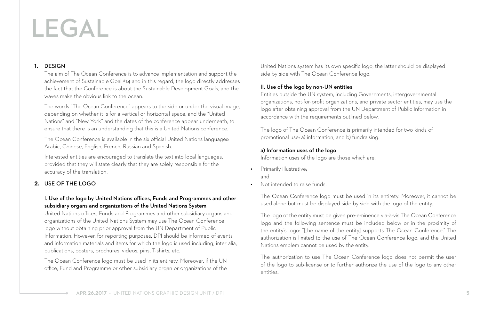## **1.** DESIGN

The aim of The Ocean Conference is to advance implementation and support the achievement of Sustainable Goal #14 and in this regard, the logo directly addresses the fact that the Conference is about the Sustainable Development Goals, and the waves make the obvious link to the ocean.

The words "The Ocean Conference" appears to the side or under the visual image, depending on whether it is for a vertical or horizontal space, and the "United Nations" and "New York" and the dates of the conference appear underneath, to ensure that there is an understanding that this is a United Nations conference.

The Ocean Conference is available in the six official United Nations languages: Arabic, Chinese, English, French, Russian and Spanish.

Interested entities are encouraged to translate the text into local languages, provided that they will state clearly that they are solely responsible for the accuracy of the translation.

## **2.** USE OF THE LOGO

#### I. Use of the logo by United Nations offices, Funds and Programmes and other subsidiary organs and organizations of the United Nations System

United Nations offices, Funds and Programmes and other subsidiary organs and organizations of the United Nations System may use The Ocean Conference logo without obtaining prior approval from the UN Department of Public Information. However, for reporting purposes, DPI should be informed of events and information materials and items for which the logo is used including, inter alia, publications, posters, brochures, videos, pins, T-shirts, etc.

The Ocean Conference logo must be used in its entirety. Moreover, if the UN office, Fund and Programme or other subsidiary organ or organizations of the United Nations system has its own specific logo, the latter should be displayed side by side with The Ocean Conference logo.

### II. Use of the logo by non-UN entities

Entities outside the UN system, including Governments, intergovernmental organizations, not-for-profit organizations, and private sector entities, may use the logo after obtaining approval from the UN Department of Public Information in accordance with the requirements outlined below.

The logo of The Ocean Conference is primarily intended for two kinds of promotional use: a) information, and b) fundraising.

### a) Information uses of the logo

Information uses of the logo are those which are:

- **•** Primarily illustrative; and
- **•** Not intended to raise funds.

The Ocean Conference logo must be used in its entirety. Moreover, it cannot be used alone but must be displayed side by side with the logo of the entity.

The logo of the entity must be given pre-eminence via-à-vis The Ocean Conference logo and the following sentence must be included below or in the proximity of the entity's logo: "[the name of the entity] supports The Ocean Conference." The authorization is limited to the use of The Ocean Conference logo, and the United Nations emblem cannot be used by the entity.

The authorization to use The Ocean Conference logo does not permit the user of the logo to sub-license or to further authorize the use of the logo to any other entities.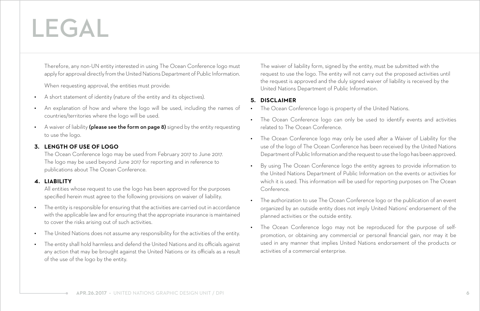Therefore, any non-UN entity interested in using The Ocean Conference logo must apply for approval directly from the United Nations Department of Public Information.

When requesting approval, the entities must provide:

- **•** A short statement of identity (nature of the entity and its objectives).
- **•** An explanation of how and where the logo will be used, including the names of countries/territories where the logo will be used.
- A waiver of liability (please see the form on page 8) signed by the entity requesting to use the logo.

### **3. LENGTH OF USE OF LOGO**

The Ocean Conference logo may be used from February 2017 to June 2017. The logo may be used beyond June 2017 for reporting and in reference to publications about The Ocean Conference.

## **4. LIABILITY**

All entities whose request to use the logo has been approved for the purposes specified herein must agree to the following provisions on waiver of liability.

- **•** The entity is responsible for ensuring that the activities are carried out in accordance with the applicable law and for ensuring that the appropriate insurance is maintained to cover the risks arising out of such activities.
- **•** The United Nations does not assume any responsibility for the activities of the entity.
- **•** The entity shall hold harmless and defend the United Nations and its officials against any action that may be brought against the United Nations or its officials as a result of the use of the logo by the entity.

The waiver of liability form, signed by the entity, must be submitted with the request to use the logo. The entity will not carry out the proposed activities until the request is approved and the duly signed waiver of liability is received by the United Nations Department of Public Information.

## **5. DISCLAIMER**

**•** The Ocean Conference logo can only be used to identify events and activities

**•** The Ocean Conference logo may only be used after a Waiver of Liability for the use of the logo of The Ocean Conference has been received by the United Nations Department of Public Information and the request to use the logo has been approved.

**•** By using The Ocean Conference logo the entity agrees to provide information to the United Nations Department of Public Information on the events or activities for which it is used. This information will be used for reporting purposes on The Ocean

- **•** The Ocean Conference logo is property of the United Nations.
- related to The Ocean Conference.
- 
- Conference.
- planned activities or the outside entity.
- activities of a commercial enterprise.

**•** The authorization to use The Ocean Conference logo or the publication of an event organized by an outside entity does not imply United Nations' endorsement of the

**•** The Ocean Conference logo may not be reproduced for the purpose of selfpromotion, or obtaining any commercial or personal financial gain, nor may it be used in any manner that implies United Nations endorsement of the products or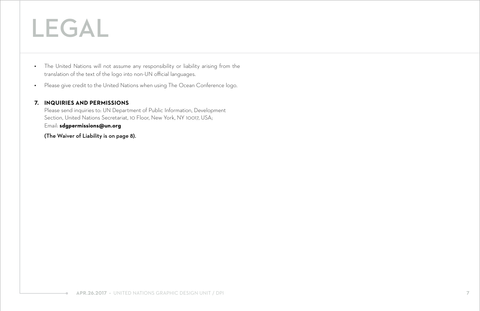- **•** The United Nations will not assume any responsibility or liability arising from the translation of the text of the logo into non-UN official languages.
- **•** Please give credit to the United Nations when using The Ocean Conference logo.

#### **7. INQUIRIES AND PERMISSIONS**

Please send inquiries to: UN Department of Public Information, Development Section, United Nations Secretariat, 10 Floor, New York, NY 10017, USA; Email: **sdgpermissions@un.org**

(The Waiver of Liability is on page 8).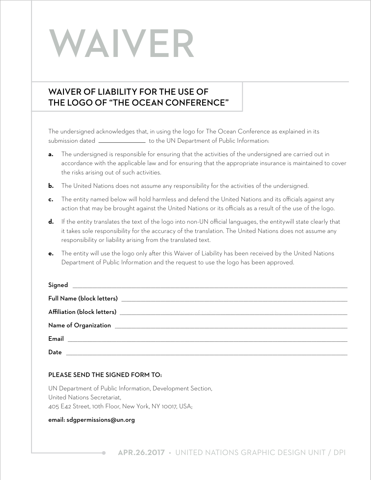# **WAIVER**

### **WAIVER OF LIABILITY FOR THE USE OF THE LOGO OF "THE OCEAN CONFERENCE"**

The undersigned acknowledges that, in using the logo for The Ocean Conference as explained in its submission dated **the UN** Department of Public Information:

- **a.** The undersigned is responsible for ensuring that the activities of the undersigned are carried out in accordance with the applicable law and for ensuring that the appropriate insurance is maintained to cover the risks arising out of such activities.
- **b.** The United Nations does not assume any responsibility for the activities of the undersigned.
- **c.** The entity named below will hold harmless and defend the United Nations and its officials against any action that may be brought against the United Nations or its officials as a result of the use of the logo.
- **d.** If the entity translates the text of the logo into non-UN official languages, the entitywill state clearly that it takes sole responsibility for the accuracy of the translation. The United Nations does not assume any responsibility or liability arising from the translated text.
- **e.** The entity will use the logo only after this Waiver of Liability has been received by the United Nations Department of Public Information and the request to use the logo has been approved.

| Date<br><u> 1989 - Johann Stoff, amerikansk politiker (* 1908)</u> |  |
|--------------------------------------------------------------------|--|

#### PLEASE SEND THE SIGNED FORM TO:

UN Department of Public Information, Development Section, United Nations Secretariat, 405 E42 Street, 10th Floor, New York, NY 10017, USA;

#### email: sdgpermissions@un.org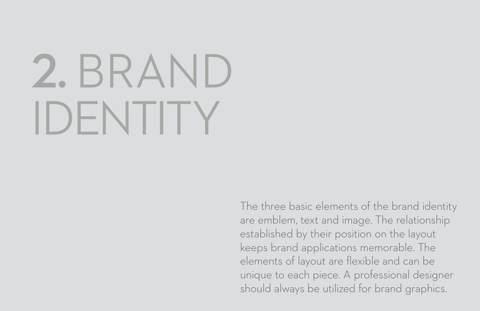# **2.** BRAND IDENTITY

The three basic elements of the brand identity are emblem, text and image. The relationship established by their position on the layout keeps brand applications memorable. The elements of layout are flexible and can be unique to each piece. A professional designer should always be utilized for brand graphics.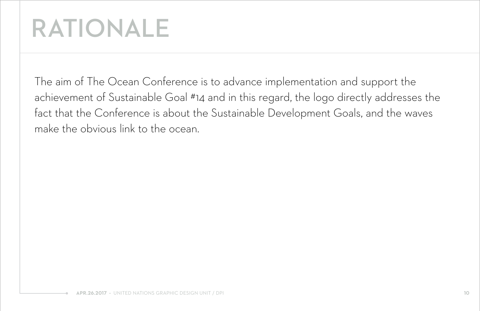# **RATIONALE**

The aim of The Ocean Conference is to advance implementation and support the achievement of Sustainable Goal #14 and in this regard, the logo directly addresses the fact that the Conference is about the Sustainable Development Goals, and the waves make the obvious link to the ocean.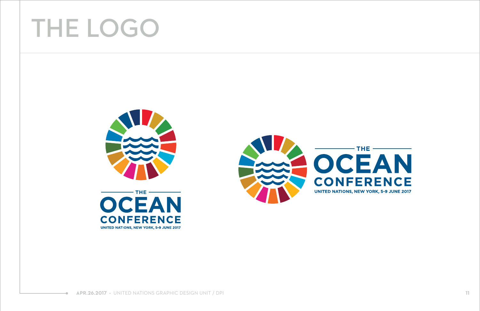# **THE LOGO**



**UNITED NATIONS, NEW YORK, 5-9 JUNE 2017** 



**APR.26.2017** • UNITED NATIONS GRAPHIC DESIGN UNIT / DPI **11**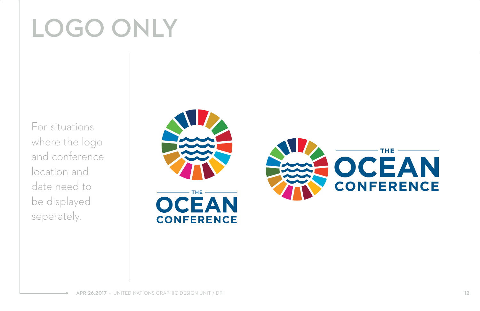# **LOGO ONLY**



# OCEAN **CONFERENCE**

For situations where the logo and conference location and date need to be displayed seperately.



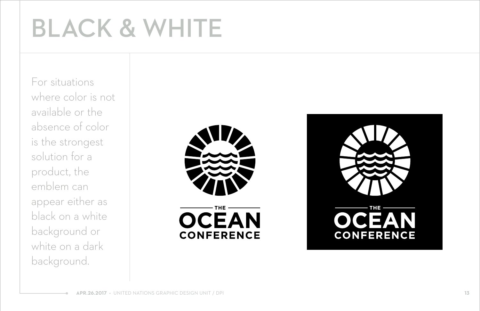# **BLACK & WHITE**

For situations where color is not available or the absence of color is the strongest solution for a product, the emblem can appear either as black on a white background or white on a dark background.





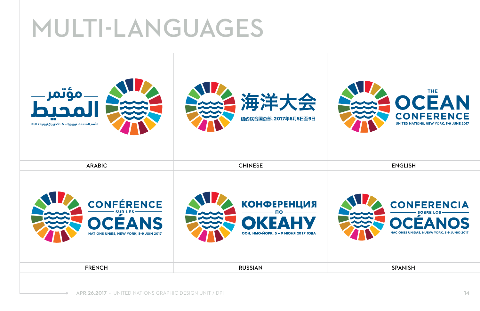# **MULTI-LANGUAGES**

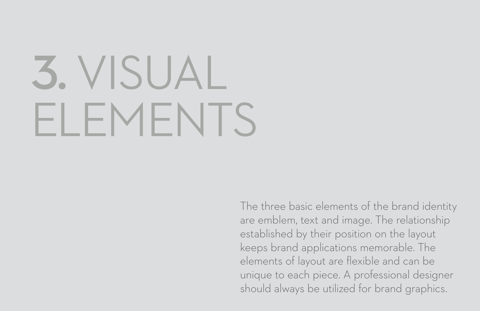# $3. VISUAL$ ELEMENTS

The three basic elements of the brand identity are emblem, text and image. The relationship established by their position on the layout keeps brand applications memorable. The elements of layout are flexible and can be unique to each piece. A professional designer should always be utilized for brand graphics.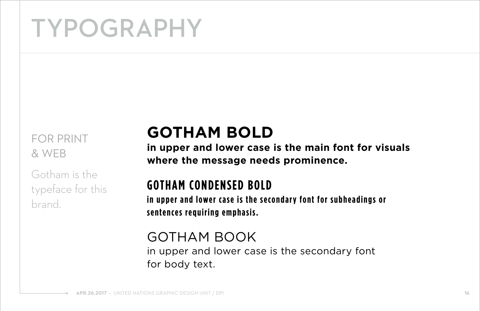# **GOTHAM BOLD**

**in upper and lower case is the main font for visuals where the message needs prominence.**

in upper and lower case is the secondary font for subheadings or **sentences requiring emphasis.**

# **GOTHAM CONDENSED BOLD**

# GOTHAM BOOK

in upper and lower case is the secondary font for body text.

# **TYPOGRAPHY**

# FOR PRINT & WEB

Gotham is the typeface for this brand.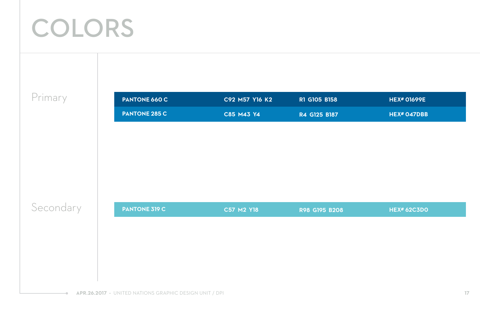

#### **HEX# 047DBB**

#### **HEX# 62C3D0**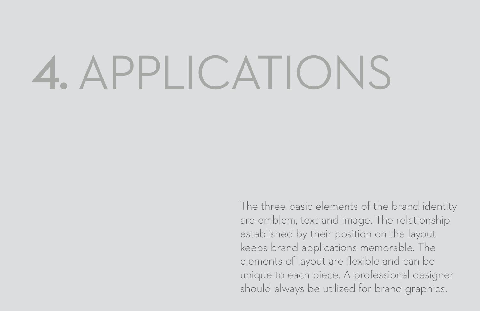# **1.** BRAND **4.** APPLICATIONS

The three basic elements of the brand identity are emblem, text and image. The relationship established by their position on the layout keeps brand applications memorable. The elements of layout are flexible and can be unique to each piece. A professional designer should always be utilized for brand graphics.

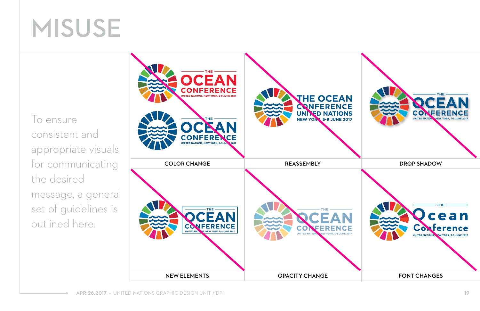# **MISUSE**

To ensure consistent and appropriate visuals for communicating the desired message, a general set of guidelines is outlined here.

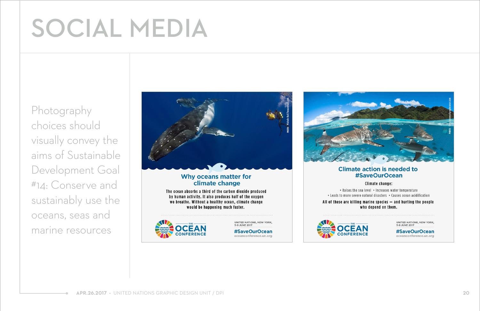# **SOCIAL MEDIA**

Photography choices should visually convey the aims of Sustainable Development Goal #14: Conserve and sustainably use the oceans, seas and marine resources







#### **Climate action is needed to** #SaveOurOcean

#### **Climate change:**

. Raises the sea level . Increases water temperature . Leads to more severe natural disasters . Causes ocean acidification

All of these are killing marine species  $-$  and hurting the people who depend on them.



UNITED NATIONS, NEW YORK, 5-9 JUNE 2017

#### #SaveOurOcean

oceanconference.un.org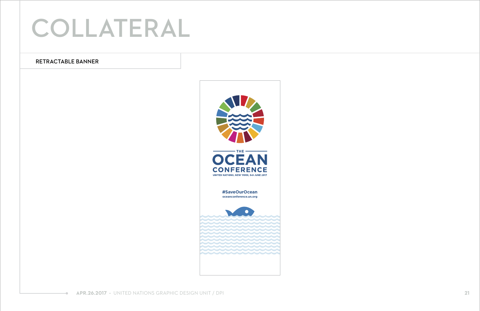# **COLLATERAL**

**21**

#### **RETRACTABLE BANNER**

 $\blacksquare$ 

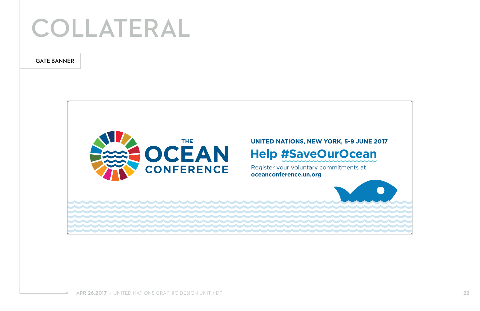**APR.26.2017** • UNITED NATIONS GRAPHIC DESIGN UNIT / DPI

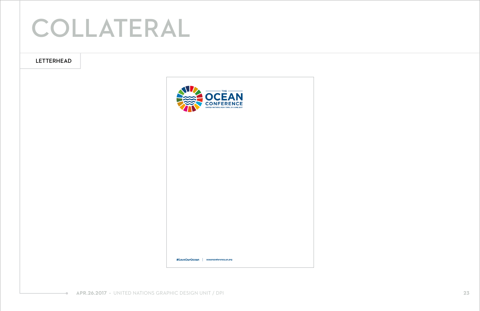# **COLLATERAL**

**23**

### **LETTERHEAD**

 $\overline{\phantom{a}}$ 

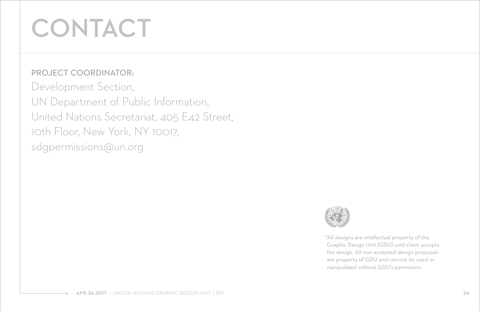# **CONTACT**

# PROJECT COORDINATOR:

Development Section, UN Department of Public Information, United Nations Secretariat, 405 E42 Street, 10th Floor, New York, NY 10017, sdgpermissions@un.org



\*All designs are intellectual property of the Graphic Design Unit (GDU) until client accepts the design. All non-accepted design proposals are property of GDU and can not be used or manipulated without GDU's permission.